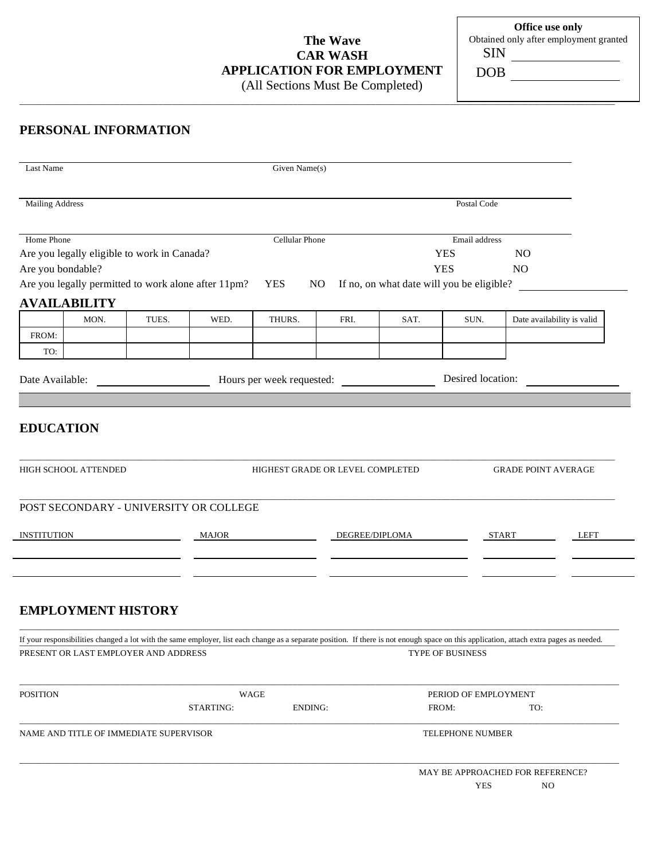# **The Wave CAR WASH APPLICATION FOR EMPLOYMENT**

**Office use only**  Obtained only after employment granted SIN DOB

(All Sections Must Be Completed)

\_\_\_\_\_\_\_\_\_\_\_\_\_\_\_\_\_\_\_\_\_\_\_\_\_\_\_\_\_\_\_\_\_\_\_\_\_\_\_\_\_\_\_\_\_\_\_\_\_\_\_\_\_\_\_\_\_\_\_\_\_\_\_\_\_\_\_\_\_\_\_\_\_\_\_\_\_\_\_\_\_\_\_\_\_\_\_\_\_\_\_\_\_\_\_\_\_\_\_\_\_\_\_\_\_\_\_\_\_\_\_\_\_\_\_\_\_\_\_\_\_\_\_\_\_\_\_\_\_\_\_\_\_\_\_\_\_

### **PERSONAL INFORMATION**

| <b>Mailing Address</b><br>Postal Code<br>Home Phone<br>Cellular Phone<br>Email address<br><b>YES</b><br>N <sub>O</sub><br><b>YES</b><br>N <sub>O</sub><br>If no, on what date will you be eligible?<br>YES<br>NO<br>TUES.<br>WED.<br>THURS.<br>FRI.<br>SAT.<br>SUN.<br>Date availability is valid<br>MON.<br>FROM:<br>TO:<br>Desired location:<br>Hours per week requested:<br><u> 1990 - Johann Barbara, martin a</u><br>HIGHEST GRADE OR LEVEL COMPLETED<br><b>GRADE POINT AVERAGE</b><br>DEGREE/DIPLOMA<br>START<br>LEFT<br>TYPE OF BUSINESS<br>WAGE<br>PERIOD OF EMPLOYMENT<br><b>ENDING:</b><br>STARTING:<br>FROM:<br>TO:<br><b>TELEPHONE NUMBER</b> | Last Name |  |  |  | Given Name(s) |  |  |  |  |  |
|-----------------------------------------------------------------------------------------------------------------------------------------------------------------------------------------------------------------------------------------------------------------------------------------------------------------------------------------------------------------------------------------------------------------------------------------------------------------------------------------------------------------------------------------------------------------------------------------------------------------------------------------------------------|-----------|--|--|--|---------------|--|--|--|--|--|
| Are you legally eligible to work in Canada?<br>Are you bondable?<br>Are you legally permitted to work alone after 11pm?<br><b>AVAILABILITY</b><br>Date Available:<br><b>EDUCATION</b><br>HIGH SCHOOL ATTENDED<br>POST SECONDARY - UNIVERSITY OR COLLEGE<br><b>INSTITUTION</b><br><b>EMPLOYMENT HISTORY</b><br>If your responsibilities changed a lot with the same employer, list each change as a separate position. If there is not enough space on this application, attach extra pages as needed.<br>PRESENT OR LAST EMPLOYER AND ADDRESS<br><b>POSITION</b><br>NAME AND TITLE OF IMMEDIATE SUPERVISOR                                                |           |  |  |  |               |  |  |  |  |  |
|                                                                                                                                                                                                                                                                                                                                                                                                                                                                                                                                                                                                                                                           |           |  |  |  |               |  |  |  |  |  |
|                                                                                                                                                                                                                                                                                                                                                                                                                                                                                                                                                                                                                                                           |           |  |  |  |               |  |  |  |  |  |
|                                                                                                                                                                                                                                                                                                                                                                                                                                                                                                                                                                                                                                                           |           |  |  |  |               |  |  |  |  |  |
|                                                                                                                                                                                                                                                                                                                                                                                                                                                                                                                                                                                                                                                           |           |  |  |  |               |  |  |  |  |  |
|                                                                                                                                                                                                                                                                                                                                                                                                                                                                                                                                                                                                                                                           |           |  |  |  |               |  |  |  |  |  |
|                                                                                                                                                                                                                                                                                                                                                                                                                                                                                                                                                                                                                                                           |           |  |  |  |               |  |  |  |  |  |
|                                                                                                                                                                                                                                                                                                                                                                                                                                                                                                                                                                                                                                                           |           |  |  |  |               |  |  |  |  |  |
|                                                                                                                                                                                                                                                                                                                                                                                                                                                                                                                                                                                                                                                           |           |  |  |  |               |  |  |  |  |  |
|                                                                                                                                                                                                                                                                                                                                                                                                                                                                                                                                                                                                                                                           |           |  |  |  |               |  |  |  |  |  |
|                                                                                                                                                                                                                                                                                                                                                                                                                                                                                                                                                                                                                                                           |           |  |  |  |               |  |  |  |  |  |
|                                                                                                                                                                                                                                                                                                                                                                                                                                                                                                                                                                                                                                                           |           |  |  |  |               |  |  |  |  |  |
|                                                                                                                                                                                                                                                                                                                                                                                                                                                                                                                                                                                                                                                           |           |  |  |  |               |  |  |  |  |  |
|                                                                                                                                                                                                                                                                                                                                                                                                                                                                                                                                                                                                                                                           |           |  |  |  |               |  |  |  |  |  |
|                                                                                                                                                                                                                                                                                                                                                                                                                                                                                                                                                                                                                                                           |           |  |  |  |               |  |  |  |  |  |
|                                                                                                                                                                                                                                                                                                                                                                                                                                                                                                                                                                                                                                                           |           |  |  |  |               |  |  |  |  |  |
|                                                                                                                                                                                                                                                                                                                                                                                                                                                                                                                                                                                                                                                           |           |  |  |  |               |  |  |  |  |  |
|                                                                                                                                                                                                                                                                                                                                                                                                                                                                                                                                                                                                                                                           |           |  |  |  |               |  |  |  |  |  |
|                                                                                                                                                                                                                                                                                                                                                                                                                                                                                                                                                                                                                                                           |           |  |  |  |               |  |  |  |  |  |
| MAY BE APPROACHED FOR REFERENCE?<br><b>YES</b><br>NO                                                                                                                                                                                                                                                                                                                                                                                                                                                                                                                                                                                                      |           |  |  |  |               |  |  |  |  |  |